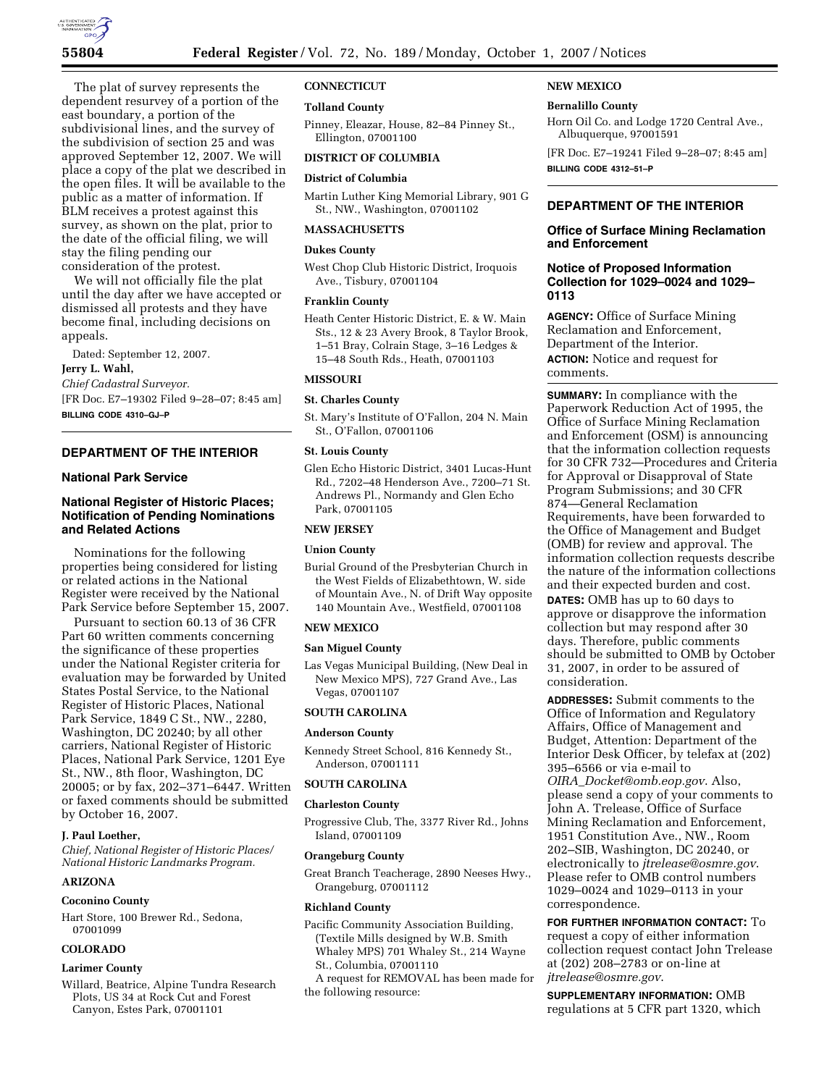

The plat of survey represents the dependent resurvey of a portion of the east boundary, a portion of the subdivisional lines, and the survey of the subdivision of section 25 and was approved September 12, 2007. We will place a copy of the plat we described in the open files. It will be available to the public as a matter of information. If BLM receives a protest against this survey, as shown on the plat, prior to the date of the official filing, we will stay the filing pending our consideration of the protest.

We will not officially file the plat until the day after we have accepted or dismissed all protests and they have become final, including decisions on appeals.

Dated: September 12, 2007.

## **Jerry L. Wahl,**

*Chief Cadastral Surveyor.*  [FR Doc. E7–19302 Filed 9–28–07; 8:45 am]

**BILLING CODE 4310–GJ–P** 

# **DEPARTMENT OF THE INTERIOR**

## **National Park Service**

# **National Register of Historic Places; Notification of Pending Nominations and Related Actions**

Nominations for the following properties being considered for listing or related actions in the National Register were received by the National Park Service before September 15, 2007.

Pursuant to section 60.13 of 36 CFR Part 60 written comments concerning the significance of these properties under the National Register criteria for evaluation may be forwarded by United States Postal Service, to the National Register of Historic Places, National Park Service, 1849 C St., NW., 2280, Washington, DC 20240; by all other carriers, National Register of Historic Places, National Park Service, 1201 Eye St., NW., 8th floor, Washington, DC 20005; or by fax, 202–371–6447. Written or faxed comments should be submitted by October 16, 2007.

## **J. Paul Loether,**

*Chief, National Register of Historic Places/ National Historic Landmarks Program.* 

# **ARIZONA**

#### **Coconino County**

Hart Store, 100 Brewer Rd., Sedona, 07001099

# **COLORADO**

#### **Larimer County**

Willard, Beatrice, Alpine Tundra Research Plots, US 34 at Rock Cut and Forest Canyon, Estes Park, 07001101

#### **CONNECTICUT**

#### **Tolland County**

Pinney, Eleazar, House, 82–84 Pinney St., Ellington, 07001100

## **DISTRICT OF COLUMBIA**

## **District of Columbia**

Martin Luther King Memorial Library, 901 G St., NW., Washington, 07001102

#### **MASSACHUSETTS**

# **Dukes County**

West Chop Club Historic District, Iroquois Ave., Tisbury, 07001104

## **Franklin County**

Heath Center Historic District, E. & W. Main Sts., 12 & 23 Avery Brook, 8 Taylor Brook, 1–51 Bray, Colrain Stage, 3–16 Ledges & 15–48 South Rds., Heath, 07001103

#### **MISSOURI**

#### **St. Charles County**

St. Mary's Institute of O'Fallon, 204 N. Main St., O'Fallon, 07001106

# **St. Louis County**

Glen Echo Historic District, 3401 Lucas-Hunt Rd., 7202–48 Henderson Ave., 7200–71 St. Andrews Pl., Normandy and Glen Echo Park, 07001105

## **NEW JERSEY**

# **Union County**

Burial Ground of the Presbyterian Church in the West Fields of Elizabethtown, W. side of Mountain Ave., N. of Drift Way opposite 140 Mountain Ave., Westfield, 07001108

## **NEW MEXICO**

#### **San Miguel County**

Las Vegas Municipal Building, (New Deal in New Mexico MPS), 727 Grand Ave., Las Vegas, 07001107

## **SOUTH CAROLINA**

#### **Anderson County**

Kennedy Street School, 816 Kennedy St., Anderson, 07001111

## **SOUTH CAROLINA**

#### **Charleston County**

Progressive Club, The, 3377 River Rd., Johns Island, 07001109

### **Orangeburg County**

Great Branch Teacherage, 2890 Neeses Hwy., Orangeburg, 07001112

#### **Richland County**

- Pacific Community Association Building, (Textile Mills designed by W.B. Smith Whaley MPS) 701 Whaley St., 214 Wayne St., Columbia, 07001110
- A request for REMOVAL has been made for the following resource:

# **NEW MEXICO**

# **Bernalillo County**

Horn Oil Co. and Lodge 1720 Central Ave., Albuquerque, 97001591

[FR Doc. E7–19241 Filed 9–28–07; 8:45 am] **BILLING CODE 4312–51–P** 

# **DEPARTMENT OF THE INTERIOR**

## **Office of Surface Mining Reclamation and Enforcement**

# **Notice of Proposed Information Collection for 1029–0024 and 1029– 0113**

**AGENCY:** Office of Surface Mining Reclamation and Enforcement, Department of the Interior. **ACTION:** Notice and request for comments.

**SUMMARY:** In compliance with the Paperwork Reduction Act of 1995, the Office of Surface Mining Reclamation and Enforcement (OSM) is announcing that the information collection requests for 30 CFR 732—Procedures and Criteria for Approval or Disapproval of State Program Submissions; and 30 CFR 874—General Reclamation Requirements, have been forwarded to the Office of Management and Budget (OMB) for review and approval. The information collection requests describe the nature of the information collections and their expected burden and cost. **DATES:** OMB has up to 60 days to approve or disapprove the information collection but may respond after 30 days. Therefore, public comments should be submitted to OMB by October 31, 2007, in order to be assured of consideration.

**ADDRESSES:** Submit comments to the Office of Information and Regulatory Affairs, Office of Management and Budget, Attention: Department of the Interior Desk Officer, by telefax at (202) 395–6566 or via e-mail to *OIRA*\_*Docket@omb.eop.gov*. Also, please send a copy of your comments to John A. Trelease, Office of Surface Mining Reclamation and Enforcement, 1951 Constitution Ave., NW., Room 202–SIB, Washington, DC 20240, or electronically to *jtrelease@osmre.gov*. Please refer to OMB control numbers 1029–0024 and 1029–0113 in your correspondence.

**FOR FURTHER INFORMATION CONTACT:** To request a copy of either information collection request contact John Trelease at (202) 208–2783 or on-line at *jtrelease@osmre.gov*.

**SUPPLEMENTARY INFORMATION:** OMB regulations at 5 CFR part 1320, which